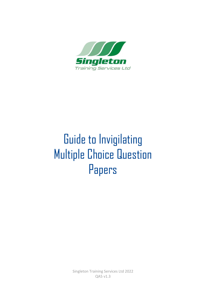

# Guide to Invigilating Multiple Choice Question Papers

Singleton Training Services Ltd 2022 QA5 v1.3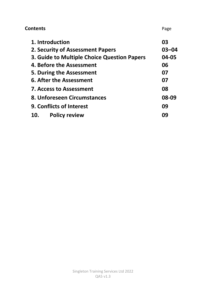| Contents                                    | Page      |
|---------------------------------------------|-----------|
| 1. Introduction                             | 03        |
| 2. Security of Assessment Papers            | $03 - 04$ |
| 3. Guide to Multiple Choice Question Papers | 04-05     |
| 4. Before the Assessment                    | 06        |
| 5. During the Assessment                    | 07        |
| <b>6. After the Assessment</b>              | 07        |
| <b>7. Access to Assessment</b>              | 08        |
| 8. Unforeseen Circumstances                 | 08-09     |
| <b>9. Conflicts of Interest</b>             | 09        |
| <b>Policy review</b><br>10.                 | 09        |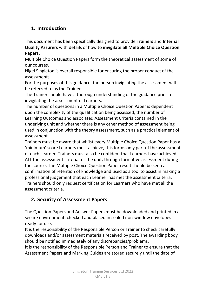### **1. Introduction**

This document has been specifically designed to provide **Trainers** and **Internal Quality Assurers** with details of how to **invigilate all Multiple Choice Question Papers.**

Multiple Choice Question Papers form the theoretical assessment of some of our courses.

Nigel Singleton is overall responsible for ensuring the proper conduct of the assessments.

For the purposes of this guidance, the person invigilating the assessment will be referred to as the Trainer.

The Trainer should have a thorough understanding of the guidance prior to invigilating the assessment of Learners.

The number of questions in a Multiple Choice Question Paper is dependent upon the complexity of the qualification being assessed, the number of Learning Outcomes and associated Assessment Criteria contained in the underlying unit and whether there is any other method of assessment being used in conjunction with the theory assessment, such as a practical element of assessment.

Trainers must be aware that whilst every Multiple Choice Question Paper has a 'minimum' score Learners must achieve, this forms only part of the assessment of each Learner. Trainers must also be confident that Learners have achieved ALL the assessment criteria for the unit, through formative assessment during the course. The Multiple Choice Question Paper result should be seen as confirmation of retention of knowledge and used as a tool to assist in making a professional judgement that each Learner has met the assessment criteria. Trainers should only request certification for Learners who have met all the assessment criteria.

## **2. Security of Assessment Papers**

The Question Papers and Answer Papers must be downloaded and printed in a secure environment, checked and placed in sealed non-window envelopes ready for use.

It is the responsibility of the Responsible Person or Trainer to check carefully downloads and/or assessment materials received by post. The awarding body should be notified immediately of any discrepancies/problems.

It is the responsibility of the Responsible Person and Trainer to ensure that the Assessment Papers and Marking Guides are stored securely until the date of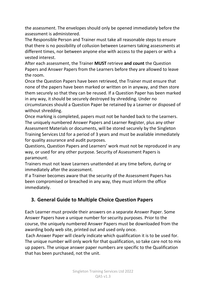the assessment. The envelopes should only be opened immediately before the assessment is administered.

The Responsible Person and Trainer must take all reasonable steps to ensure that there is no possibility of collusion between Learners taking assessments at different times, nor between anyone else with access to the papers or with a vested interest.

After each assessment, the Trainer **MUST** retrieve **and count** the Question Papers and Answer Papers from the Learners before they are allowed to leave the room.

Once the Question Papers have been retrieved, the Trainer must ensure that none of the papers have been marked or written on in anyway, and then store them securely so that they can be reused. If a Question Paper has been marked in any way, it should be securely destroyed by shredding. Under no circumstances should a Question Paper be retained by a Learner or disposed of without shredding.

Once marking is completed, papers must not be handed back to the Learners. The uniquely numbered Answer Papers and Learner Register, plus any other Assessment Materials or documents, will be stored securely by the Singleton Training Services Ltd for a period of 3 years and must be available immediately for quality assurance and audit purposes.

Questions, Question Papers and Learners' work must not be reproduced in any way, or used for any other purpose. Security of Assessment Papers is paramount.

Trainers must not leave Learners unattended at any time before, during or immediately after the assessment.

If a Trainer becomes aware that the security of the Assessment Papers has been compromised or breached in any way, they must inform the office immediately.

## **3. General Guide to Multiple Choice Question Papers**

Each Learner must provide their answers on a separate Answer Paper. Some Answer Papers have a unique number for security purposes. Prior to the course, the uniquely numbered Answer Papers must be downloaded from the awarding body web site, printed out and used only once.

Each Answer Paper will clearly indicate which qualification it is to be used for. The unique number will only work for that qualification, so take care not to mix up papers. The unique answer paper numbers are specific to the Qualification that has been purchased, not the unit.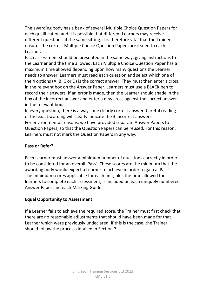The awarding body has a bank of several Multiple Choice Question Papers for each qualification and it is possible that different Learners may receive different questions at the same sitting. It is therefore vital that the Trainer ensures the correct Multiple Choice Question Papers are issued to each Learner.

Each assessment should be presented in the same way, giving instructions to the Learner and the time allowed. Each Multiple Choice Question Paper has a maximum time allowed depending upon how many questions the Learner needs to answer. Learners must read each question and select which one of the 4 options (A, B, C or D) is the correct answer. They must then enter a cross in the relevant box on the Answer Paper. Learners must use a BLACK pen to record their answers. If an error is made, then the Learner should shade in the box of the incorrect answer and enter a new cross against the correct answer in the relevant box.

In every question, there is always one clearly correct answer. Careful reading of the exact wording will clearly indicate the 3 incorrect answers. For environmental reasons, we have provided separate Answer Papers to Question Papers, so that the Question Papers can be reused. For this reason, Learners must not mark the Question Papers in any way.

#### **Pass or Refer?**

Each Learner must answer a minimum number of questions correctly in order to be considered for an overall 'Pass'. These scores are the minimum that the awarding body would expect a Learner to achieve in order to gain a 'Pass'. The minimum scores applicable for each unit, plus the time allowed for learners to complete each assessment, is included on each uniquely numbered Answer Paper and each Marking Guide.

#### **Equal Opportunity to Assessment**

If a Learner fails to achieve the required score, the Trainer must first check that there are no reasonable adjustments that should have been made for that Learner which were previously undeclared. If this is the case, the Trainer should follow the process detailed in Section 7.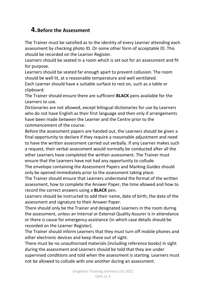## **4.Before the Assessment**

The Trainer must be satisfied as to the identity of every Learner attending each assessment by checking photo ID. Or some other form of acceptable ID. This should be recorded on the Learner Register.

Learners should be seated in a room which is set out for an assessment and fit for purpose.

Learners should be seated far enough apart to prevent collusion. The room should be well lit, at a reasonable temperature and well ventilated.

Each Learner should have a suitable surface to rest on, such as a table or clipboard.

The Trainer should ensure there are sufficient **BLACK** pens available for the Learners to use.

Dictionaries are not allowed, except bilingual dictionaries for use by Learners who do not have English as their first language and then only if arrangements have been made between the Learner and the Centre prior to the commencement of the course.

Before the assessment papers are handed out, the Learners should be given a final opportunity to declare if they require a reasonable adjustment and need to have the written assessment carried out verbally. If any Learner makes such a request, their verbal assessment would normally be conducted after all the other Learners have completed the written assessment. The Trainer must ensure that the Learners have not had any opportunity to collude.

The envelope containing the Assessment Papers and Marking Guides should only be opened immediately prior to the assessment taking place.

The Trainer should ensure that Learners understand the format of the written assessment, how to complete the Answer Paper, the time allowed and how to record the correct answers using a **BLACK** pen.

Learners should be instructed to add their name, date of birth, the date of the assessment and signature to their Answer Paper.

There should only be the Trainer and designated Learners in the room during the assessment, unless an Internal or External Quality Assurer is in attendance or there is cause for emergency assistance (in which case details should be recorded on the Learner Register).

The Trainer should inform Learners that they must turn off mobile phones and other electronic devices and keep these out of sight.

There must be no unauthorised materials (including reference books) in sight during the assessment and Learners should be told that they are under supervised conditions and told when the assessment is starting. Learners must not be allowed to collude with one another during an assessment.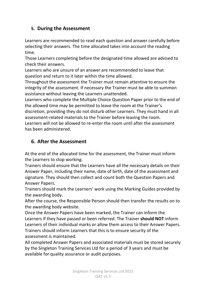## **5. During the Assessment**

Learners are recommended to read each question and answer carefully before selecting their answers. The time allocated takes into account the reading time.

Those Learners completing before the designated time allowed are advised to check their answers.

Learners who are unsure of an answer are recommended to leave that question and return to it later within the time allowed.

Throughout the assessment the Trainer must remain attentive to ensure the integrity of the assessment. If necessary the Trainer must be able to summon assistance without leaving the Learners unattended.

Learners who complete the Multiple Choice Question Paper prior to the end of the allowed time may be permitted to leave the room at the Trainer's discretion, providing they do not disturb other Learners. They must hand in all assessment-related materials to the Trainer before leaving the room. Learners will not be allowed to re-enter the room until after the assessment has been administered.

#### **6. After the Assessment**

At the end of the allocated time for the assessment, the Trainer must inform the Learners to stop working.

Trainers should ensure that the Learners have all the necessary details on their Answer Paper, including their name, date of birth, date of the assessment and signature. They should then collect and count both the Question Papers and Answer Papers.

Trainers should mark the Learners' work using the Marking Guides provided by the awarding body.

After the course, the Responsible Person should then transfer the results on to the awarding body website.

Once the Answer Papers have been marked, the Trainer can inform the Learners if they have passed or been referred. The Trainer **should NOT** inform Learners of their individual marks or allow them access to their Answer Papers. Trainers should inform Learners that this is to ensure security of the assessment is maintained.

All completed Answer Papers and associated materials must be stored securely by the Singleton Training Services Ltd for a period of 3 years and must be available for quality assurance or audit purposes.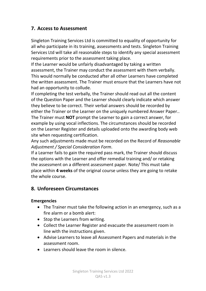#### **7. Access to Assessment**

Singleton Training Services Ltd is committed to equality of opportunity for all who participate in its training, assessments and tests. Singleton Training Services Ltd will take all reasonable steps to identify any special assessment requirements prior to the assessment taking place.

If the Learner would be unfairly disadvantaged by taking a written assessment, the Trainer may conduct the assessment with them verbally. This would normally be conducted after all other Learners have completed the written assessment. The Trainer must ensure that the Learners have not had an opportunity to collude.

If completing the test verbally, the Trainer should read out all the content of the Question Paper and the Learner should clearly indicate which answer they believe to be correct. Their verbal answers should be recorded by either the Trainer or the Learner on the uniquely numbered Answer Paper.. The Trainer must **NOT** prompt the Learner to gain a correct answer, for example by using vocal inflections. The circumstances should be recorded on the Learner Register and details uploaded onto the awarding body web site when requesting certification.

Any such adjustments made must be recorded on the Record of *Reasonable Adjustment / Special Consideration Form*.

If a Learner fails to gain the required pass mark, the Trainer should discuss the options with the Learner and offer remedial training and/ or retaking the assessment on a different assessment paper. Note/ This must take place within **4 weeks** of the original course unless they are going to retake the whole course.

#### **8. Unforeseen Circumstances**

#### **Emergencies**

- The Trainer must take the following action in an emergency, such as a fire alarm or a bomb alert:
- Stop the Learners from writing.
- Collect the Learner Register and evacuate the assessment room in line with the instructions given.
- Advise Learners to leave all Assessment Papers and materials in the assessment room.
- Learners should leave the room in silence.